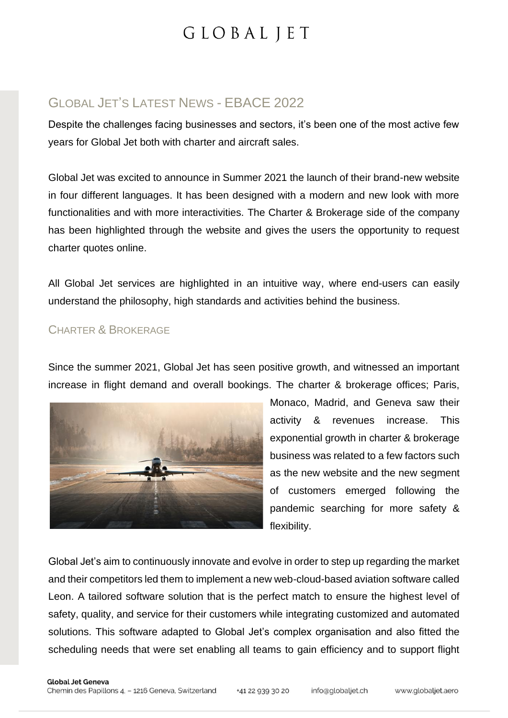### GLOBAL JET'S LATEST NEWS - EBACE 2022

Despite the challenges facing businesses and sectors, it's been one of the most active few years for Global Jet both with charter and aircraft sales.

Global Jet was excited to announce in Summer 2021 the launch of their brand-new website in four different languages. It has been designed with a modern and new look with more functionalities and with more interactivities. The Charter & Brokerage side of the company has been highlighted through the website and gives the users the opportunity to request charter quotes online.

All Global Jet services are highlighted in an intuitive way, where end-users can easily understand the philosophy, high standards and activities behind the business.

### CHARTER & BROKERAGE

Since the summer 2021, Global Jet has seen positive growth, and witnessed an important increase in flight demand and overall bookings. The charter & brokerage offices; Paris,



Monaco, Madrid, and Geneva saw their activity & revenues increase. This exponential growth in charter & brokerage business was related to a few factors such as the new website and the new segment of customers emerged following the pandemic searching for more safety & flexibility.

Global Jet's aim to continuously innovate and evolve in order to step up regarding the market and their competitors led them to implement a new web-cloud-based aviation software called Leon. A tailored software solution that is the perfect match to ensure the highest level of safety, quality, and service for their customers while integrating customized and automated solutions. This software adapted to Global Jet's complex organisation and also fitted the scheduling needs that were set enabling all teams to gain efficiency and to support flight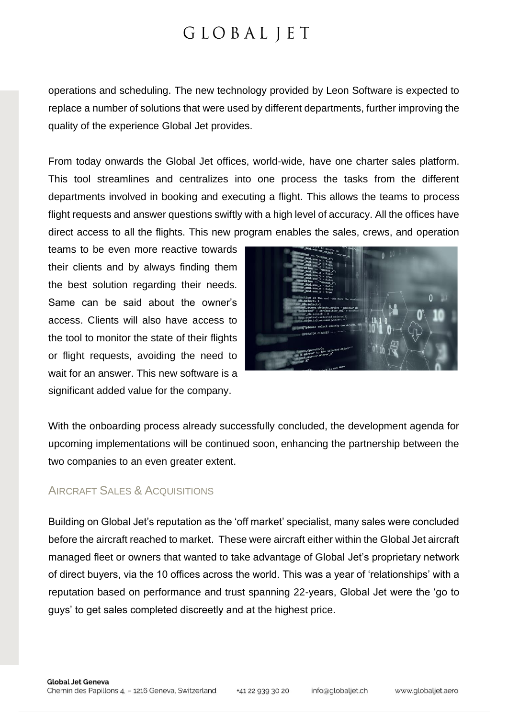operations and scheduling. The new technology provided by Leon Software is expected to replace a number of solutions that were used by different departments, further improving the quality of the experience Global Jet provides.

From today onwards the Global Jet offices, world-wide, have one charter sales platform. This tool streamlines and centralizes into one process the tasks from the different departments involved in booking and executing a flight. This allows the teams to process flight requests and answer questions swiftly with a high level of accuracy. All the offices have direct access to all the flights. This new program enables the sales, crews, and operation

teams to be even more reactive towards their clients and by always finding them the best solution regarding their needs. Same can be said about the owner's access. Clients will also have access to the tool to monitor the state of their flights or flight requests, avoiding the need to wait for an answer. This new software is a significant added value for the company.



With the onboarding process already successfully concluded, the development agenda for upcoming implementations will be continued soon, enhancing the partnership between the two companies to an even greater extent.

### AIRCRAFT SALES & ACQUISITIONS

Building on Global Jet's reputation as the 'off market' specialist, many sales were concluded before the aircraft reached to market. These were aircraft either within the Global Jet aircraft managed fleet or owners that wanted to take advantage of Global Jet's proprietary network of direct buyers, via the 10 offices across the world. This was a year of 'relationships' with a reputation based on performance and trust spanning 22-years, Global Jet were the 'go to guys' to get sales completed discreetly and at the highest price.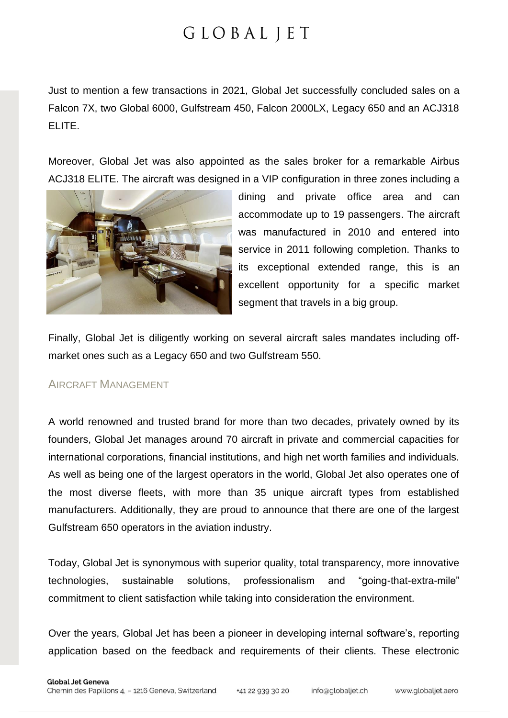Just to mention a few transactions in 2021, Global Jet successfully concluded sales on a Falcon 7X, two Global 6000, Gulfstream 450, Falcon 2000LX, Legacy 650 and an ACJ318 ELITE.

Moreover, Global Jet was also appointed as the sales broker for a remarkable Airbus ACJ318 ELITE. The aircraft was designed in a VIP configuration in three zones including a



dining and private office area and can accommodate up to 19 passengers. The aircraft was manufactured in 2010 and entered into service in 2011 following completion. Thanks to its exceptional extended range, this is an excellent opportunity for a specific market segment that travels in a big group.

Finally, Global Jet is diligently working on several aircraft sales mandates including offmarket ones such as a Legacy 650 and two Gulfstream 550.

### AIRCRAFT MANAGEMENT

A world renowned and trusted brand for more than two decades, privately owned by its founders, Global Jet manages around 70 aircraft in private and commercial capacities for international corporations, financial institutions, and high net worth families and individuals. As well as being one of the largest operators in the world, Global Jet also operates one of the most diverse fleets, with more than 35 unique aircraft types from established manufacturers. Additionally, they are proud to announce that there are one of the largest Gulfstream 650 operators in the aviation industry.

Today, Global Jet is synonymous with superior quality, total transparency, more innovative technologies, sustainable solutions, professionalism and "going-that-extra-mile" commitment to client satisfaction while taking into consideration the environment.

Over the years, Global Jet has been a pioneer in developing internal software's, reporting application based on the feedback and requirements of their clients. These electronic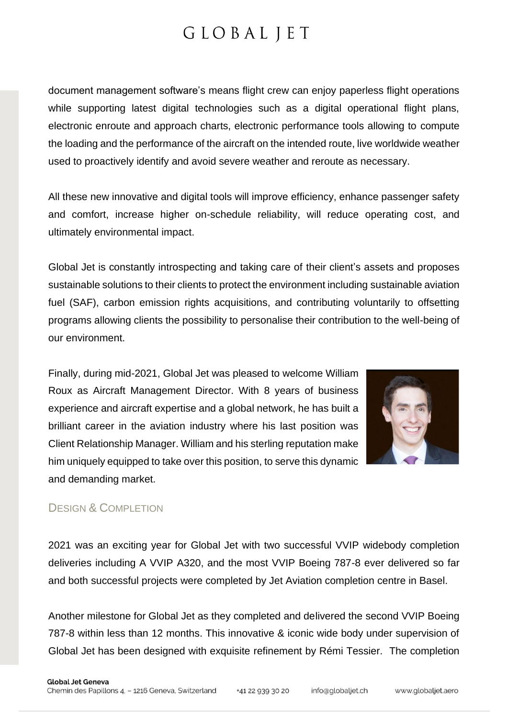document management software's means flight crew can enjoy paperless flight operations while supporting latest digital technologies such as a digital operational flight plans, electronic enroute and approach charts, electronic performance tools allowing to compute the loading and the performance of the aircraft on the intended route, live worldwide weather used to proactively identify and avoid severe weather and reroute as necessary.

All these new innovative and digital tools will improve efficiency, enhance passenger safety and comfort, increase higher on-schedule reliability, will reduce operating cost, and ultimately environmental impact.

Global Jet is constantly introspecting and taking care of their client's assets and proposes sustainable solutions to their clients to protect the environment including sustainable aviation fuel (SAF), carbon emission rights acquisitions, and contributing voluntarily to offsetting programs allowing clients the possibility to personalise their contribution to the well-being of our environment.

Finally, during mid-2021, Global Jet was pleased to welcome William Roux as Aircraft Management Director. With 8 years of business experience and aircraft expertise and a global network, he has built a brilliant career in the aviation industry where his last position was Client Relationship Manager. William and his sterling reputation make him uniquely equipped to take over this position, to serve this dynamic and demanding market.



### DESIGN & COMPLETION

2021 was an exciting year for Global Jet with two successful VVIP widebody completion deliveries including A VVIP A320, and the most VVIP Boeing 787-8 ever delivered so far and both successful projects were completed by Jet Aviation completion centre in Basel.

Another milestone for Global Jet as they completed and delivered the second VVIP Boeing 787-8 within less than 12 months. This innovative & iconic wide body under supervision of Global Jet has been designed with exquisite refinement by Rémi Tessier. The completion